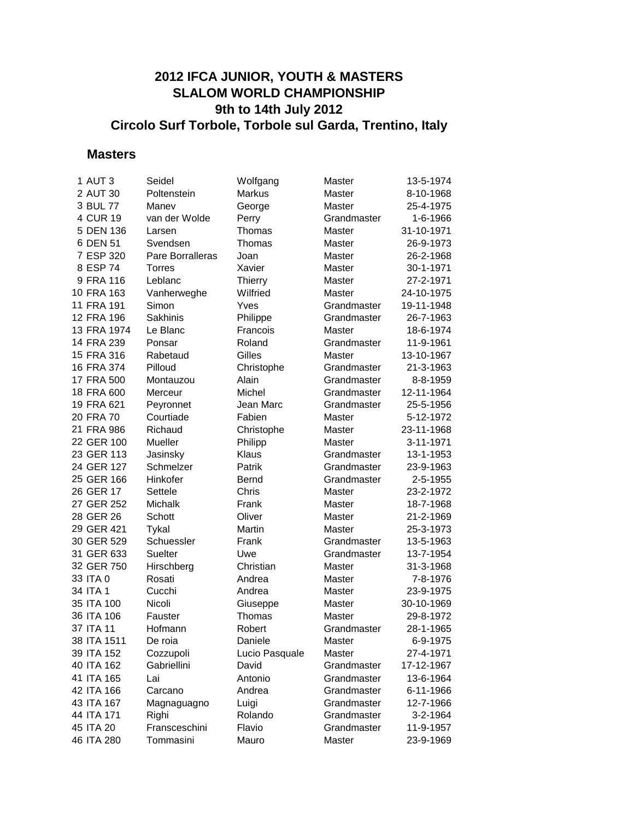## **2012 IFCA JUNIOR, YOUTH & MASTERS SLALOM WORLD CHAMPIONSHIP 9th to 14th July 2012 Circolo Surf Torbole, Torbole sul Garda, Trentino, Italy**

#### **Masters**

| 1 AUT 3     | Seidel           | Wolfgang       | Master      | 13-5-1974  |
|-------------|------------------|----------------|-------------|------------|
| 2 AUT 30    | Poltenstein      | Markus         | Master      | 8-10-1968  |
| 3 BUL 77    | Manev            | George         | Master      | 25-4-1975  |
| 4 CUR 19    | van der Wolde    | Perry          | Grandmaster | 1-6-1966   |
| 5 DEN 136   | Larsen           | Thomas         | Master      | 31-10-1971 |
| 6 DEN 51    | Svendsen         | Thomas         | Master      | 26-9-1973  |
| 7 ESP 320   | Pare Borralleras | Joan           | Master      | 26-2-1968  |
| 8 ESP 74    | <b>Torres</b>    | Xavier         | Master      | 30-1-1971  |
| 9 FRA 116   | Leblanc          | <b>Thierry</b> | Master      | 27-2-1971  |
| 10 FRA 163  | Vanherweghe      | Wilfried       | Master      | 24-10-1975 |
| 11 FRA 191  | Simon            | Yves           | Grandmaster | 19-11-1948 |
| 12 FRA 196  | Sakhinis         | Philippe       | Grandmaster | 26-7-1963  |
| 13 FRA 1974 | Le Blanc         | Francois       | Master      | 18-6-1974  |
| 14 FRA 239  | Ponsar           | Roland         | Grandmaster | 11-9-1961  |
| 15 FRA 316  | Rabetaud         | Gilles         | Master      | 13-10-1967 |
| 16 FRA 374  | Pilloud          | Christophe     | Grandmaster | 21-3-1963  |
| 17 FRA 500  | Montauzou        | Alain          | Grandmaster | 8-8-1959   |
| 18 FRA 600  | Merceur          | Michel         | Grandmaster | 12-11-1964 |
| 19 FRA 621  | Peyronnet        | Jean Marc      | Grandmaster | 25-5-1956  |
| 20 FRA 70   | Courtiade        | Fabien         | Master      | 5-12-1972  |
| 21 FRA 986  | Richaud          | Christophe     | Master      | 23-11-1968 |
| 22 GER 100  | Mueller          | Philipp        | Master      | 3-11-1971  |
| 23 GER 113  | Jasinsky         | Klaus          | Grandmaster | 13-1-1953  |
| 24 GER 127  | Schmelzer        | Patrik         | Grandmaster | 23-9-1963  |
| 25 GER 166  | Hinkofer         | Bernd          | Grandmaster | 2-5-1955   |
| 26 GER 17   | Settele          | Chris          | Master      | 23-2-1972  |
| 27 GER 252  | Michalk          | Frank          | Master      | 18-7-1968  |
| 28 GER 26   | Schott           | Oliver         | Master      | 21-2-1969  |
| 29 GER 421  | Tykal            | Martin         | Master      | 25-3-1973  |
| 30 GER 529  | Schuessler       | Frank          | Grandmaster | 13-5-1963  |
| 31 GER 633  | Suelter          | Uwe            | Grandmaster | 13-7-1954  |
| 32 GER 750  | Hirschberg       | Christian      | Master      | 31-3-1968  |
| 33 ITA 0    | Rosati           | Andrea         | Master      | 7-8-1976   |
| 34 ITA 1    | Cucchi           | Andrea         | Master      | 23-9-1975  |
| 35 ITA 100  | Nicoli           | Giuseppe       | Master      | 30-10-1969 |
| 36 ITA 106  | Fauster          | Thomas         | Master      | 29-8-1972  |
| 37 ITA 11   | Hofmann          | Robert         | Grandmaster | 28-1-1965  |
| 38 ITA 1511 | De roia          | Daniele        | Master      | 6-9-1975   |
| 39 ITA 152  | Cozzupoli        | Lucio Pasquale | Master      | 27-4-1971  |
| 40 ITA 162  | Gabriellini      | David          | Grandmaster | 17-12-1967 |
| 41 ITA 165  | Lai              | Antonio        | Grandmaster | 13-6-1964  |
| 42 ITA 166  | Carcano          | Andrea         | Grandmaster | 6-11-1966  |
| 43 ITA 167  | Magnaguagno      | Luigi          | Grandmaster | 12-7-1966  |
| 44 ITA 171  | Righi            | Rolando        | Grandmaster | 3-2-1964   |
| 45 ITA 20   | Fransceschini    | Flavio         | Grandmaster | 11-9-1957  |
| 46 ITA 280  | Tommasini        | Mauro          | Master      | 23-9-1969  |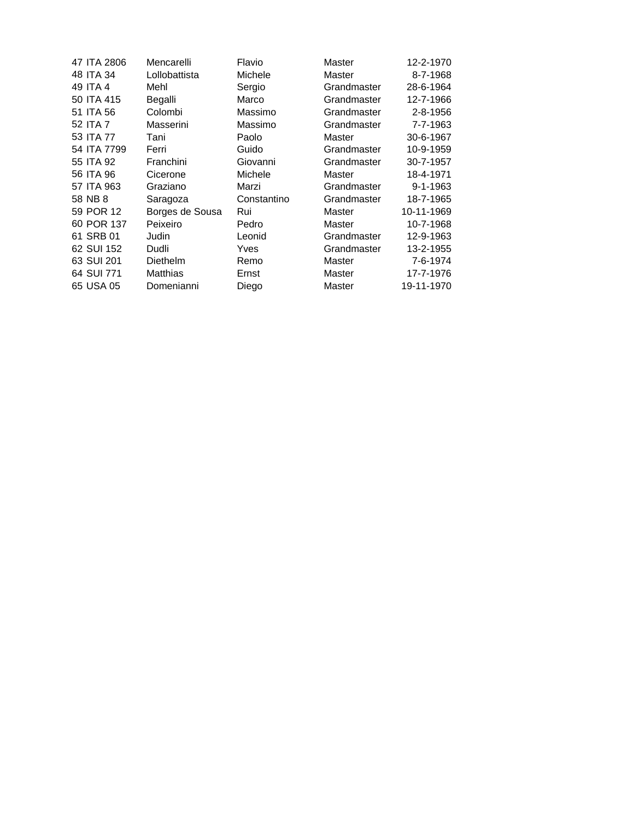| 47 ITA 2806 | Mencarelli      | Flavio      | Master      | 12-2-1970      |
|-------------|-----------------|-------------|-------------|----------------|
| 48 ITA 34   | Lollobattista   | Michele     | Master      | 8-7-1968       |
| 49 ITA 4    | Mehl            | Sergio      | Grandmaster | 28-6-1964      |
| 50 ITA 415  | Begalli         | Marco       | Grandmaster | 12-7-1966      |
| 51 ITA 56   | Colombi         | Massimo     | Grandmaster | 2-8-1956       |
| 52 ITA 7    | Masserini       | Massimo     | Grandmaster | 7-7-1963       |
| 53 ITA 77   | Tani            | Paolo       | Master      | 30-6-1967      |
| 54 ITA 7799 | Ferri           | Guido       | Grandmaster | 10-9-1959      |
| 55 ITA 92   | Franchini       | Giovanni    | Grandmaster | 30-7-1957      |
| 56 ITA 96   | Cicerone        | Michele     | Master      | 18-4-1971      |
| 57 ITA 963  | Graziano        | Marzi       | Grandmaster | $9 - 1 - 1963$ |
| 58 NB 8     | Saragoza        | Constantino | Grandmaster | 18-7-1965      |
| 59 POR 12   | Borges de Sousa | Rui         | Master      | 10-11-1969     |
| 60 POR 137  | Peixeiro        | Pedro       | Master      | 10-7-1968      |
| 61 SRB 01   | Judin           | Leonid      | Grandmaster | 12-9-1963      |
| 62 SUI 152  | Dudli           | Yves        | Grandmaster | 13-2-1955      |
| 63 SUI 201  | Diethelm        | Remo        | Master      | 7-6-1974       |
| 64 SUI 771  | Matthias        | Ernst       | Master      | 17-7-1976      |
| 65 USA 05   | Domenianni      | Diego       | Master      | 19-11-1970     |
|             |                 |             |             |                |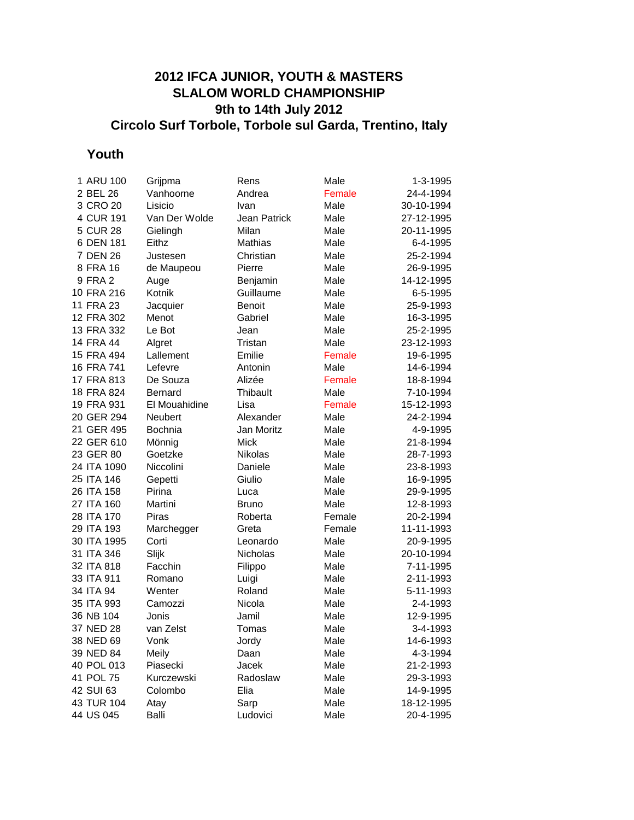## **2012 IFCA JUNIOR, YOUTH & MASTERS SLALOM WORLD CHAMPIONSHIP 9th to 14th July 2012 Circolo Surf Torbole, Torbole sul Garda, Trentino, Italy**

# **Youth**

| 1 ARU 100   | Grijpma        | Rens         | Male   | 1-3-1995   |
|-------------|----------------|--------------|--------|------------|
| 2 BEL 26    | Vanhoorne      | Andrea       | Female | 24-4-1994  |
| 3 CRO 20    | Lisicio        | Ivan         | Male   | 30-10-1994 |
| 4 CUR 191   | Van Der Wolde  | Jean Patrick | Male   | 27-12-1995 |
| 5 CUR 28    | Gielingh       | Milan        | Male   | 20-11-1995 |
| 6 DEN 181   | Eithz          | Mathias      | Male   | 6-4-1995   |
| 7 DEN 26    | Justesen       | Christian    | Male   | 25-2-1994  |
| 8 FRA 16    | de Maupeou     | Pierre       | Male   | 26-9-1995  |
| 9 FRA 2     | Auge           | Benjamin     | Male   | 14-12-1995 |
| 10 FRA 216  | Kotnik         | Guillaume    | Male   | 6-5-1995   |
| 11 FRA 23   | Jacquier       | Benoit       | Male   | 25-9-1993  |
| 12 FRA 302  | Menot          | Gabriel      | Male   | 16-3-1995  |
| 13 FRA 332  | Le Bot         | Jean         | Male   | 25-2-1995  |
| 14 FRA 44   | Algret         | Tristan      | Male   | 23-12-1993 |
| 15 FRA 494  | Lallement      | Emilie       | Female | 19-6-1995  |
| 16 FRA 741  | Lefevre        | Antonin      | Male   | 14-6-1994  |
| 17 FRA 813  | De Souza       | Alizée       | Female | 18-8-1994  |
| 18 FRA 824  | <b>Bernard</b> | Thibault     | Male   | 7-10-1994  |
| 19 FRA 931  | El Mouahidine  | Lisa         | Female | 15-12-1993 |
| 20 GER 294  | <b>Neubert</b> | Alexander    | Male   | 24-2-1994  |
| 21 GER 495  | Bochnia        | Jan Moritz   | Male   | 4-9-1995   |
| 22 GER 610  | Mönnig         | Mick         | Male   | 21-8-1994  |
| 23 GER 80   | Goetzke        | Nikolas      | Male   | 28-7-1993  |
| 24 ITA 1090 | Niccolini      | Daniele      | Male   | 23-8-1993  |
| 25 ITA 146  | Gepetti        | Giulio       | Male   | 16-9-1995  |
| 26 ITA 158  | Pirina         | Luca         | Male   | 29-9-1995  |
| 27 ITA 160  | Martini        | Bruno        | Male   | 12-8-1993  |
| 28 ITA 170  | Piras          | Roberta      | Female | 20-2-1994  |
| 29 ITA 193  | Marchegger     | Greta        | Female | 11-11-1993 |
| 30 ITA 1995 | Corti          | Leonardo     | Male   | 20-9-1995  |
| 31 ITA 346  | Slijk          | Nicholas     | Male   | 20-10-1994 |
| 32 ITA 818  | Facchin        | Filippo      | Male   | 7-11-1995  |
| 33 ITA 911  | Romano         | Luigi        | Male   | 2-11-1993  |
| 34 ITA 94   | Wenter         | Roland       | Male   | 5-11-1993  |
| 35 ITA 993  | Camozzi        | Nicola       | Male   | 2-4-1993   |
| 36 NB 104   | Jonis          | Jamil        | Male   | 12-9-1995  |
| 37 NED 28   | van Zelst      | Tomas        | Male   | 3-4-1993   |
| 38 NED 69   | Vonk           | Jordy        | Male   | 14-6-1993  |
| 39 NED 84   | Meily          | Daan         | Male   | 4-3-1994   |
| 40 POL 013  | Piasecki       | Jacek        | Male   | 21-2-1993  |
| 41 POL 75   | Kurczewski     | Radoslaw     | Male   | 29-3-1993  |
| 42 SUI 63   | Colombo        | Elia         | Male   | 14-9-1995  |
| 43 TUR 104  | Atay           | Sarp         | Male   | 18-12-1995 |
| 44 US 045   | Balli          | Ludovici     | Male   | 20-4-1995  |